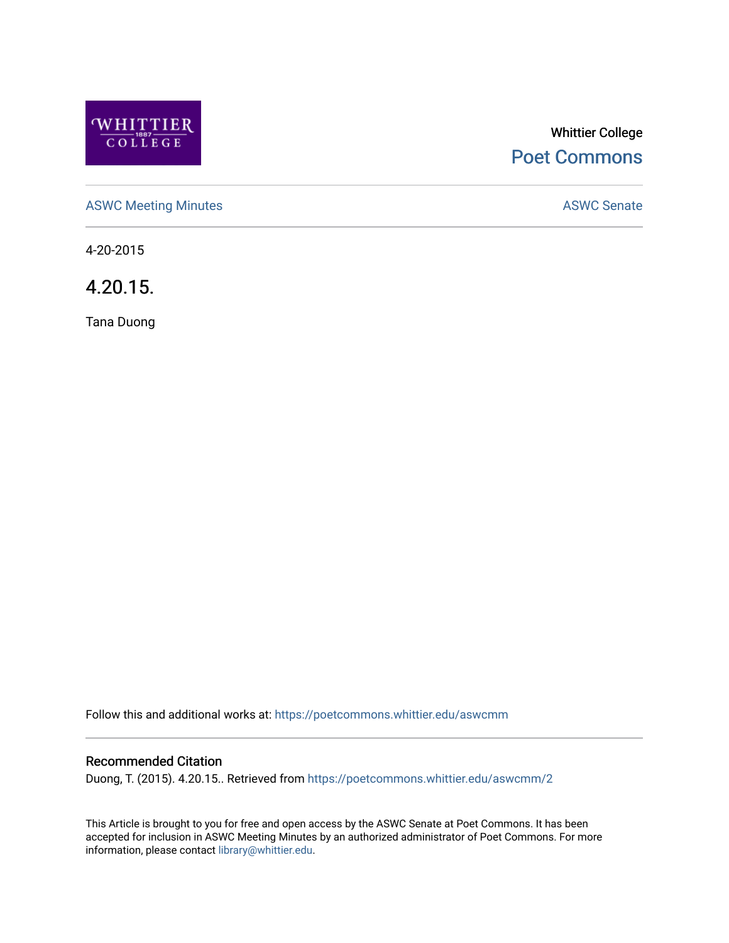

# Whittier College [Poet Commons](https://poetcommons.whittier.edu/)

[ASWC Meeting Minutes](https://poetcommons.whittier.edu/aswcmm) **ASWC Senate** 

4-20-2015

4.20.15.

Tana Duong

Follow this and additional works at: [https://poetcommons.whittier.edu/aswcmm](https://poetcommons.whittier.edu/aswcmm?utm_source=poetcommons.whittier.edu%2Faswcmm%2F2&utm_medium=PDF&utm_campaign=PDFCoverPages)

# Recommended Citation

Duong, T. (2015). 4.20.15.. Retrieved from [https://poetcommons.whittier.edu/aswcmm/2](https://poetcommons.whittier.edu/aswcmm/2?utm_source=poetcommons.whittier.edu%2Faswcmm%2F2&utm_medium=PDF&utm_campaign=PDFCoverPages) 

This Article is brought to you for free and open access by the ASWC Senate at Poet Commons. It has been accepted for inclusion in ASWC Meeting Minutes by an authorized administrator of Poet Commons. For more information, please contact [library@whittier.edu.](mailto:library@whittier.edu)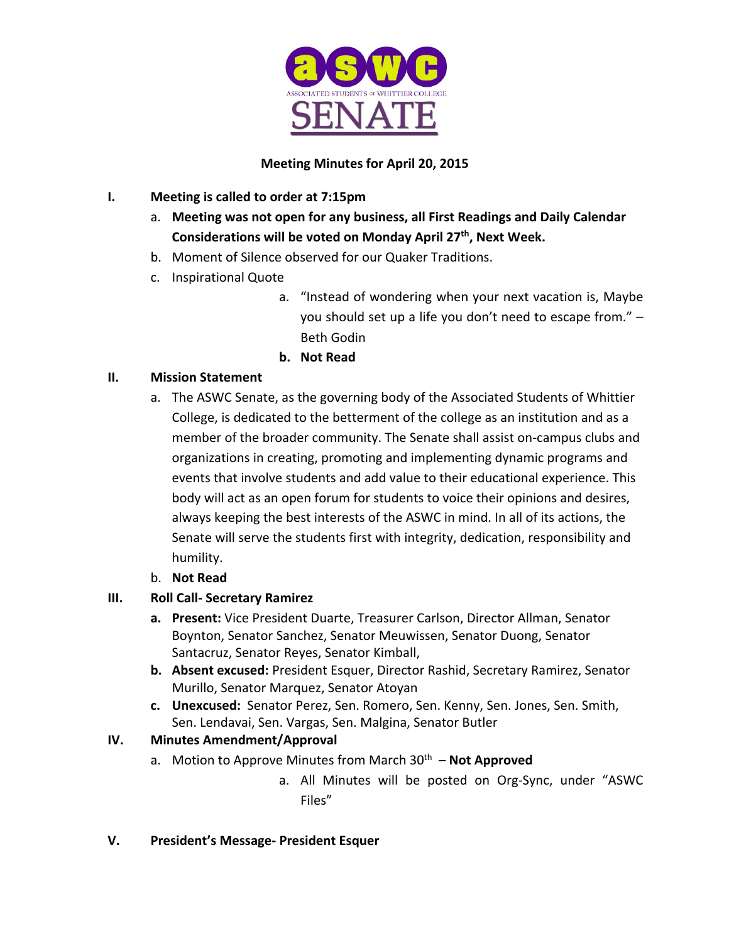

# **Meeting Minutes for April 20, 2015**

# **I. Meeting is called to order at 7:15pm**

- a. **Meeting was not open for any business, all First Readings and Daily Calendar Considerations will be voted on Monday April 27th, Next Week.**
- b. Moment of Silence observed for our Quaker Traditions.
- c. Inspirational Quote
	- a. "Instead of wondering when your next vacation is, Maybe you should set up a life you don't need to escape from." – Beth Godin
	- **b. Not Read**

# **II. Mission Statement**

- a. The ASWC Senate, as the governing body of the Associated Students of Whittier College, is dedicated to the betterment of the college as an institution and as a member of the broader community. The Senate shall assist on-campus clubs and organizations in creating, promoting and implementing dynamic programs and events that involve students and add value to their educational experience. This body will act as an open forum for students to voice their opinions and desires, always keeping the best interests of the ASWC in mind. In all of its actions, the Senate will serve the students first with integrity, dedication, responsibility and humility.
- b. **Not Read**

# **III. Roll Call- Secretary Ramirez**

- **a. Present:** Vice President Duarte, Treasurer Carlson, Director Allman, Senator Boynton, Senator Sanchez, Senator Meuwissen, Senator Duong, Senator Santacruz, Senator Reyes, Senator Kimball,
- **b. Absent excused:** President Esquer, Director Rashid, Secretary Ramirez, Senator Murillo, Senator Marquez, Senator Atoyan
- **c. Unexcused:** Senator Perez, Sen. Romero, Sen. Kenny, Sen. Jones, Sen. Smith, Sen. Lendavai, Sen. Vargas, Sen. Malgina, Senator Butler

# **IV. Minutes Amendment/Approval**

- a. Motion to Approve Minutes from March 30<sup>th</sup> **Not Approved** 
	- a. All Minutes will be posted on Org-Sync, under "ASWC Files"

# **V. President's Message- President Esquer**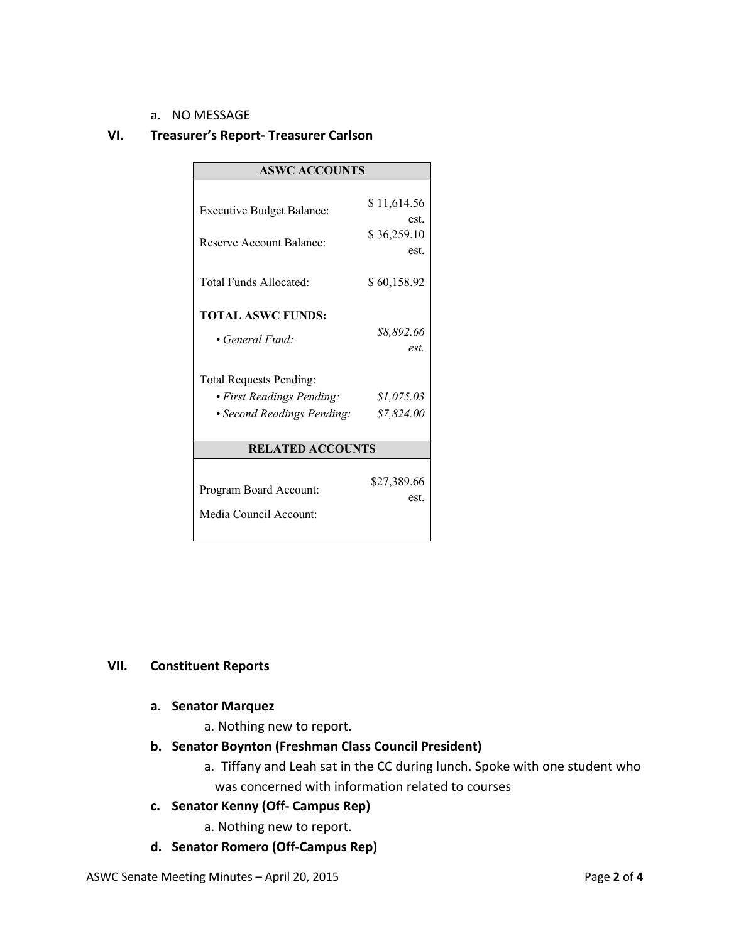#### a. NO MESSAGE

### **VI. Treasurer's Report- Treasurer Carlson**

| <b>ASWC ACCOUNTS</b>                                    |                          |
|---------------------------------------------------------|--------------------------|
| <b>Executive Budget Balance:</b>                        | \$11,614.56              |
| Reserve Account Balance:                                | est.<br>\$36,259.10      |
| Total Funds Allocated:                                  | est.<br>\$60,158.92      |
| <b>TOTAL ASWC FUNDS:</b>                                |                          |
| • General Fund:                                         | \$8,892.66<br>est.       |
| <b>Total Requests Pending:</b>                          |                          |
| • First Readings Pending:<br>• Second Readings Pending: | \$1,075.03<br>\$7,824.00 |
| <b>RELATED ACCOUNTS</b>                                 |                          |
| Program Board Account:<br>Media Council Account:        | \$27,389.66<br>est.      |

## **VII. Constituent Reports**

#### **a. Senator Marquez**

- a. Nothing new to report.
- **b. Senator Boynton (Freshman Class Council President)**
	- a. Tiffany and Leah sat in the CC during lunch. Spoke with one student who was concerned with information related to courses
- **c. Senator Kenny (Off- Campus Rep)**
	- a. Nothing new to report.
- **d. Senator Romero (Off-Campus Rep)**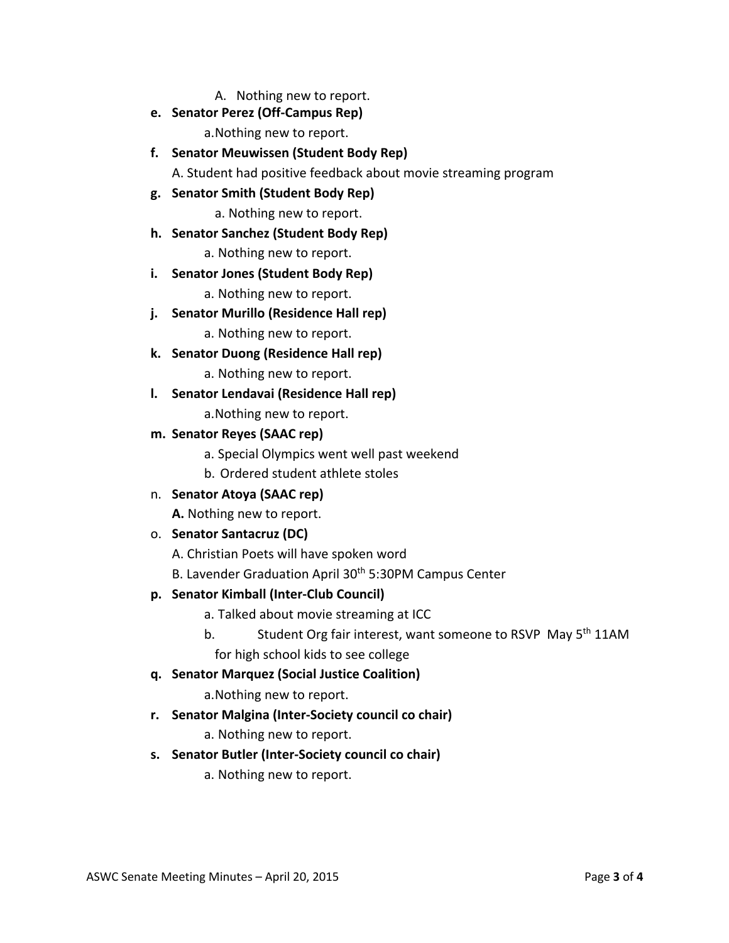A. Nothing new to report.

**e. Senator Perez (Off-Campus Rep)**

a.Nothing new to report.

**f. Senator Meuwissen (Student Body Rep)**

A. Student had positive feedback about movie streaming program

**g. Senator Smith (Student Body Rep)**

a. Nothing new to report.

**h. Senator Sanchez (Student Body Rep)**

a. Nothing new to report.

**i. Senator Jones (Student Body Rep)**

a. Nothing new to report.

**j. Senator Murillo (Residence Hall rep)**

a. Nothing new to report.

**k. Senator Duong (Residence Hall rep)**

a. Nothing new to report.

- **l. Senator Lendavai (Residence Hall rep)** a.Nothing new to report.
- **m. Senator Reyes (SAAC rep)**
	- a. Special Olympics went well past weekend
	- b. Ordered student athlete stoles
- n. **Senator Atoya (SAAC rep)**

**A.** Nothing new to report.

## o. **Senator Santacruz (DC)**

A. Christian Poets will have spoken word

B. Lavender Graduation April 30<sup>th</sup> 5:30PM Campus Center

## **p. Senator Kimball (Inter-Club Council)**

- a. Talked about movie streaming at ICC
- b. Student Org fair interest, want someone to RSVP May 5<sup>th</sup> 11AM for high school kids to see college

## **q. Senator Marquez (Social Justice Coalition)**

a.Nothing new to report.

- **r. Senator Malgina (Inter-Society council co chair)**
	- a. Nothing new to report.
- **s. Senator Butler (Inter-Society council co chair)**
	- a. Nothing new to report.